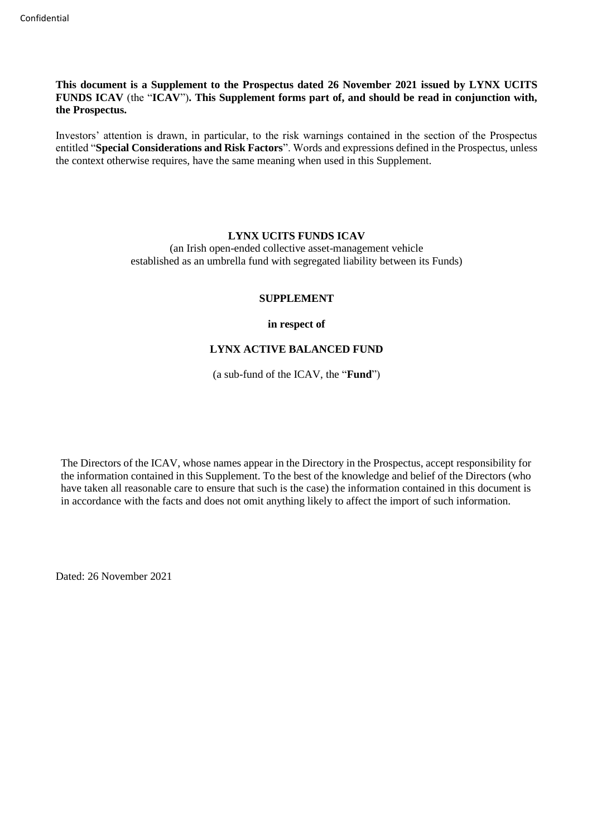**This document is a Supplement to the Prospectus dated 26 November 2021 issued by LYNX UCITS FUNDS ICAV** (the "**ICAV**")**. This Supplement forms part of, and should be read in conjunction with, the Prospectus.** 

Investors' attention is drawn, in particular, to the risk warnings contained in the section of the Prospectus entitled "**Special Considerations and Risk Factors**". Words and expressions defined in the Prospectus, unless the context otherwise requires, have the same meaning when used in this Supplement.

#### **LYNX UCITS FUNDS ICAV**

(an Irish open-ended collective asset-management vehicle established as an umbrella fund with segregated liability between its Funds)

#### **SUPPLEMENT**

**in respect of**

# **LYNX ACTIVE BALANCED FUND**

(a sub-fund of the ICAV, the "**Fund**")

The Directors of the ICAV, whose names appear in the Directory in the Prospectus, accept responsibility for the information contained in this Supplement. To the best of the knowledge and belief of the Directors (who have taken all reasonable care to ensure that such is the case) the information contained in this document is in accordance with the facts and does not omit anything likely to affect the import of such information.

Dated: 26 November 2021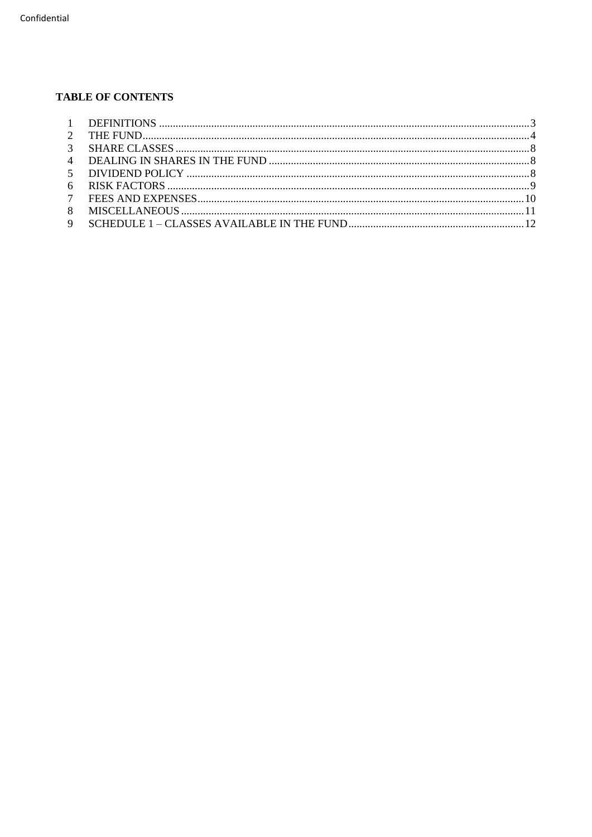# **TABLE OF CONTENTS**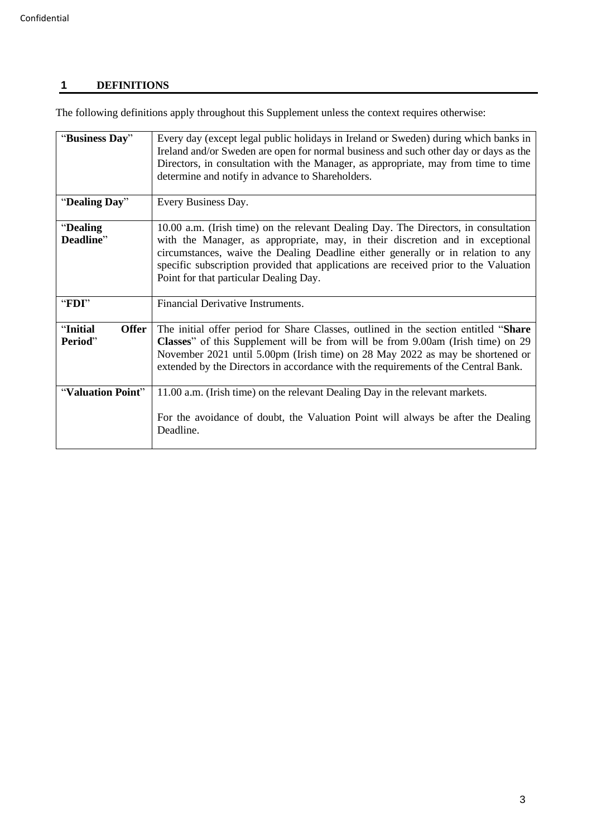# <span id="page-2-0"></span>**1 DEFINITIONS**

The following definitions apply throughout this Supplement unless the context requires otherwise:

| "Business Day"               | Every day (except legal public holidays in Ireland or Sweden) during which banks in<br>Ireland and/or Sweden are open for normal business and such other day or days as the<br>Directors, in consultation with the Manager, as appropriate, may from time to time<br>determine and notify in advance to Shareholders.                                                                      |  |  |  |  |  |  |  |
|------------------------------|--------------------------------------------------------------------------------------------------------------------------------------------------------------------------------------------------------------------------------------------------------------------------------------------------------------------------------------------------------------------------------------------|--|--|--|--|--|--|--|
| "Dealing Day"                | Every Business Day.                                                                                                                                                                                                                                                                                                                                                                        |  |  |  |  |  |  |  |
| "Dealing<br>Deadline"        | 10.00 a.m. (Irish time) on the relevant Dealing Day. The Directors, in consultation<br>with the Manager, as appropriate, may, in their discretion and in exceptional<br>circumstances, waive the Dealing Deadline either generally or in relation to any<br>specific subscription provided that applications are received prior to the Valuation<br>Point for that particular Dealing Day. |  |  |  |  |  |  |  |
| "FDI"                        | Financial Derivative Instruments.                                                                                                                                                                                                                                                                                                                                                          |  |  |  |  |  |  |  |
| "Initial<br>Offer<br>Period" | The initial offer period for Share Classes, outlined in the section entitled "Share"<br><b>Classes</b> " of this Supplement will be from will be from 9.00am (Irish time) on 29<br>November 2021 until 5.00pm (Irish time) on 28 May 2022 as may be shortened or<br>extended by the Directors in accordance with the requirements of the Central Bank.                                     |  |  |  |  |  |  |  |
| "Valuation Point"            | 11.00 a.m. (Irish time) on the relevant Dealing Day in the relevant markets.<br>For the avoidance of doubt, the Valuation Point will always be after the Dealing<br>Deadline.                                                                                                                                                                                                              |  |  |  |  |  |  |  |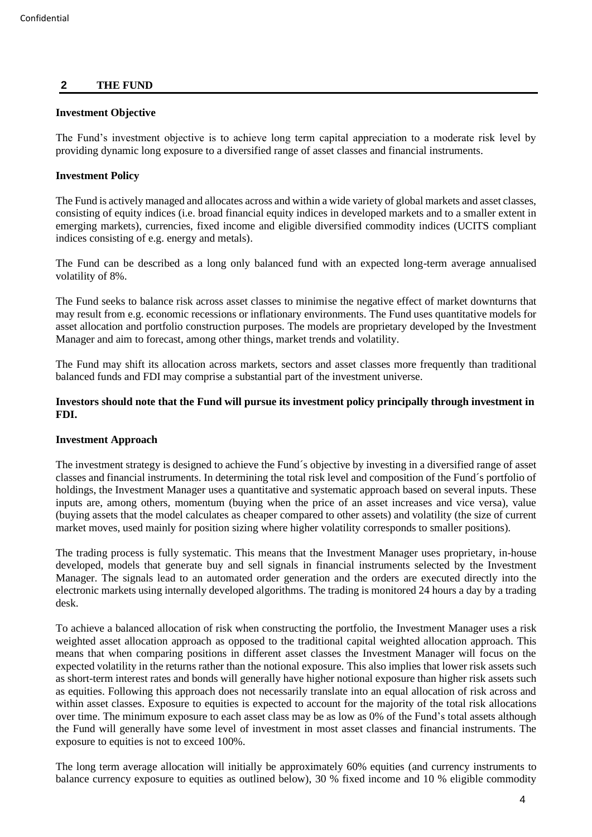# <span id="page-3-0"></span>**2 THE FUND**

#### **Investment Objective**

The Fund's investment objective is to achieve long term capital appreciation to a moderate risk level by providing dynamic long exposure to a diversified range of asset classes and financial instruments.

# **Investment Policy**

The Fund is actively managed and allocates across and within a wide variety of global markets and asset classes, consisting of equity indices (i.e. broad financial equity indices in developed markets and to a smaller extent in emerging markets), currencies, fixed income and eligible diversified commodity indices (UCITS compliant indices consisting of e.g. energy and metals).

The Fund can be described as a long only balanced fund with an expected long-term average annualised volatility of 8%.

The Fund seeks to balance risk across asset classes to minimise the negative effect of market downturns that may result from e.g. economic recessions or inflationary environments. The Fund uses quantitative models for asset allocation and portfolio construction purposes. The models are proprietary developed by the Investment Manager and aim to forecast, among other things, market trends and volatility.

The Fund may shift its allocation across markets, sectors and asset classes more frequently than traditional balanced funds and FDI may comprise a substantial part of the investment universe.

**Investors should note that the Fund will pursue its investment policy principally through investment in FDI.**

# **Investment Approach**

The investment strategy is designed to achieve the Fund´s objective by investing in a diversified range of asset classes and financial instruments. In determining the total risk level and composition of the Fund´s portfolio of holdings, the Investment Manager uses a quantitative and systematic approach based on several inputs. These inputs are, among others, momentum (buying when the price of an asset increases and vice versa), value (buying assets that the model calculates as cheaper compared to other assets) and volatility (the size of current market moves, used mainly for position sizing where higher volatility corresponds to smaller positions).

The trading process is fully systematic. This means that the Investment Manager uses proprietary, in-house developed, models that generate buy and sell signals in financial instruments selected by the Investment Manager. The signals lead to an automated order generation and the orders are executed directly into the electronic markets using internally developed algorithms. The trading is monitored 24 hours a day by a trading desk.

To achieve a balanced allocation of risk when constructing the portfolio, the Investment Manager uses a risk weighted asset allocation approach as opposed to the traditional capital weighted allocation approach. This means that when comparing positions in different asset classes the Investment Manager will focus on the expected volatility in the returns rather than the notional exposure. This also implies that lower risk assets such as short-term interest rates and bonds will generally have higher notional exposure than higher risk assets such as equities. Following this approach does not necessarily translate into an equal allocation of risk across and within asset classes. Exposure to equities is expected to account for the majority of the total risk allocations over time. The minimum exposure to each asset class may be as low as 0% of the Fund's total assets although the Fund will generally have some level of investment in most asset classes and financial instruments. The exposure to equities is not to exceed 100%.

The long term average allocation will initially be approximately 60% equities (and currency instruments to balance currency exposure to equities as outlined below), 30 % fixed income and 10 % eligible commodity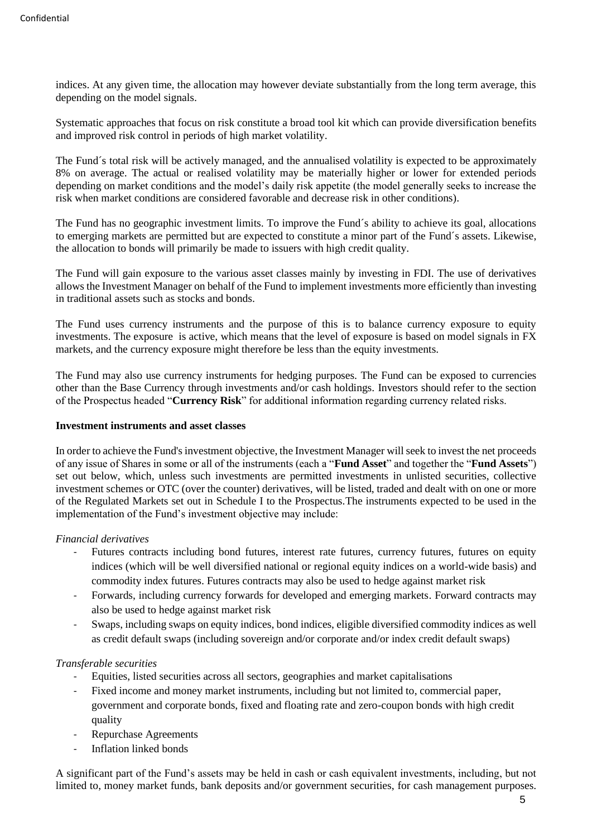indices. At any given time, the allocation may however deviate substantially from the long term average, this depending on the model signals.

Systematic approaches that focus on risk constitute a broad tool kit which can provide diversification benefits and improved risk control in periods of high market volatility.

The Fund´s total risk will be actively managed, and the annualised volatility is expected to be approximately 8% on average. The actual or realised volatility may be materially higher or lower for extended periods depending on market conditions and the model's daily risk appetite (the model generally seeks to increase the risk when market conditions are considered favorable and decrease risk in other conditions).

The Fund has no geographic investment limits. To improve the Fund´s ability to achieve its goal, allocations to emerging markets are permitted but are expected to constitute a minor part of the Fund´s assets. Likewise, the allocation to bonds will primarily be made to issuers with high credit quality.

The Fund will gain exposure to the various asset classes mainly by investing in FDI. The use of derivatives allows the Investment Manager on behalf of the Fund to implement investments more efficiently than investing in traditional assets such as stocks and bonds.

The Fund uses currency instruments and the purpose of this is to balance currency exposure to equity investments. The exposure is active, which means that the level of exposure is based on model signals in FX markets, and the currency exposure might therefore be less than the equity investments.

The Fund may also use currency instruments for hedging purposes. The Fund can be exposed to currencies other than the Base Currency through investments and/or cash holdings. Investors should refer to the section of the Prospectus headed "**Currency Risk**" for additional information regarding currency related risks.

# **Investment instruments and asset classes**

In order to achieve the Fund's investment objective, the Investment Manager will seek to invest the net proceeds of any issue of Shares in some or all of the instruments (each a "**Fund Asset**" and together the "**Fund Assets**") set out below, which, unless such investments are permitted investments in unlisted securities, collective investment schemes or OTC (over the counter) derivatives, will be listed, traded and dealt with on one or more of the Regulated Markets set out in Schedule I to the Prospectus.The instruments expected to be used in the implementation of the Fund's investment objective may include:

# *Financial derivatives*

- Futures contracts including bond futures, interest rate futures, currency futures, futures on equity indices (which will be well diversified national or regional equity indices on a world-wide basis) and commodity index futures. Futures contracts may also be used to hedge against market risk
- Forwards, including currency forwards for developed and emerging markets. Forward contracts may also be used to hedge against market risk
- Swaps, including swaps on equity indices, bond indices, eligible diversified commodity indices as well as credit default swaps (including sovereign and/or corporate and/or index credit default swaps)

# *Transferable securities*

- Equities, listed securities across all sectors, geographies and market capitalisations
- Fixed income and money market instruments, including but not limited to, commercial paper, government and corporate bonds, fixed and floating rate and zero-coupon bonds with high credit quality
- Repurchase Agreements
- Inflation linked bonds

A significant part of the Fund's assets may be held in cash or cash equivalent investments, including, but not limited to, money market funds, bank deposits and/or government securities, for cash management purposes.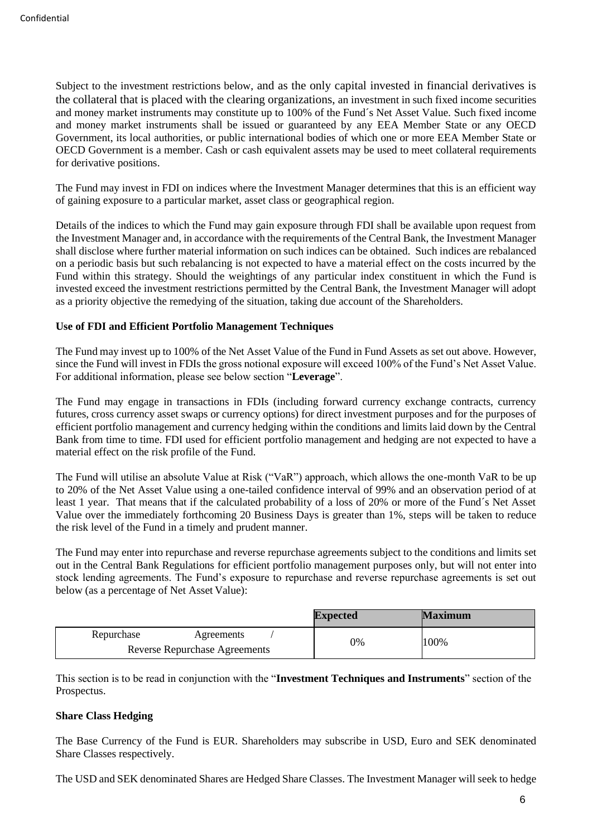Subject to the investment restrictions below, and as the only capital invested in financial derivatives is the collateral that is placed with the clearing organizations, an investment in such fixed income securities and money market instruments may constitute up to 100% of the Fund´s Net Asset Value. Such fixed income and money market instruments shall be issued or guaranteed by any EEA Member State or any OECD Government, its local authorities, or public international bodies of which one or more EEA Member State or OECD Government is a member. Cash or cash equivalent assets may be used to meet collateral requirements for derivative positions.

The Fund may invest in FDI on indices where the Investment Manager determines that this is an efficient way of gaining exposure to a particular market, asset class or geographical region.

Details of the indices to which the Fund may gain exposure through FDI shall be available upon request from the Investment Manager and, in accordance with the requirements of the Central Bank, the Investment Manager shall disclose where further material information on such indices can be obtained. Such indices are rebalanced on a periodic basis but such rebalancing is not expected to have a material effect on the costs incurred by the Fund within this strategy. Should the weightings of any particular index constituent in which the Fund is invested exceed the investment restrictions permitted by the Central Bank, the Investment Manager will adopt as a priority objective the remedying of the situation, taking due account of the Shareholders.

# **Use of FDI and Efficient Portfolio Management Techniques**

The Fund may invest up to 100% of the Net Asset Value of the Fund in Fund Assets as set out above. However, since the Fund will invest in FDIs the gross notional exposure will exceed 100% of the Fund's Net Asset Value. For additional information, please see below section "**Leverage**".

The Fund may engage in transactions in FDIs (including forward currency exchange contracts, currency futures, cross currency asset swaps or currency options) for direct investment purposes and for the purposes of efficient portfolio management and currency hedging within the conditions and limits laid down by the Central Bank from time to time. FDI used for efficient portfolio management and hedging are not expected to have a material effect on the risk profile of the Fund.

The Fund will utilise an absolute Value at Risk ("VaR") approach, which allows the one-month VaR to be up to 20% of the Net Asset Value using a one-tailed confidence interval of 99% and an observation period of at least 1 year. That means that if the calculated probability of a loss of 20% or more of the Fund´s Net Asset Value over the immediately forthcoming 20 Business Days is greater than 1%, steps will be taken to reduce the risk level of the Fund in a timely and prudent manner.

The Fund may enter into repurchase and reverse repurchase agreements subject to the conditions and limits set out in the Central Bank Regulations for efficient portfolio management purposes only, but will not enter into stock lending agreements. The Fund's exposure to repurchase and reverse repurchase agreements is set out below (as a percentage of Net Asset Value):

|                                      | <b>Expected</b> | <b>Maximum</b> |
|--------------------------------------|-----------------|----------------|
| Repurchase<br>Agreements             | 0%              | 100%           |
| <b>Reverse Repurchase Agreements</b> |                 |                |

This section is to be read in conjunction with the "**Investment Techniques and Instruments**" section of the Prospectus.

# **Share Class Hedging**

The Base Currency of the Fund is EUR. Shareholders may subscribe in USD, Euro and SEK denominated Share Classes respectively.

The USD and SEK denominated Shares are Hedged Share Classes. The Investment Manager will seek to hedge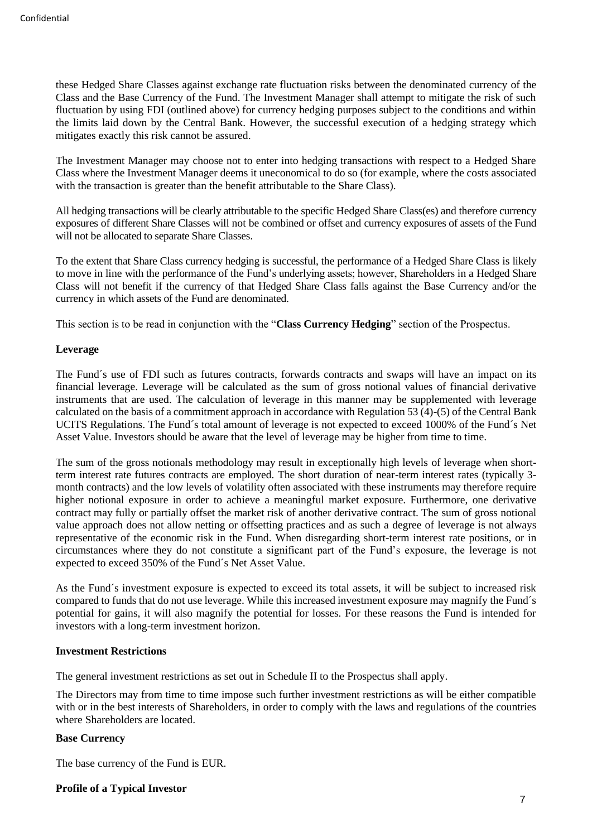these Hedged Share Classes against exchange rate fluctuation risks between the denominated currency of the Class and the Base Currency of the Fund. The Investment Manager shall attempt to mitigate the risk of such fluctuation by using FDI (outlined above) for currency hedging purposes subject to the conditions and within the limits laid down by the Central Bank. However, the successful execution of a hedging strategy which mitigates exactly this risk cannot be assured.

The Investment Manager may choose not to enter into hedging transactions with respect to a Hedged Share Class where the Investment Manager deems it uneconomical to do so (for example, where the costs associated with the transaction is greater than the benefit attributable to the Share Class).

All hedging transactions will be clearly attributable to the specific Hedged Share Class(es) and therefore currency exposures of different Share Classes will not be combined or offset and currency exposures of assets of the Fund will not be allocated to separate Share Classes.

To the extent that Share Class currency hedging is successful, the performance of a Hedged Share Class is likely to move in line with the performance of the Fund's underlying assets; however, Shareholders in a Hedged Share Class will not benefit if the currency of that Hedged Share Class falls against the Base Currency and/or the currency in which assets of the Fund are denominated.

This section is to be read in conjunction with the "**Class Currency Hedging**" section of the Prospectus.

#### **Leverage**

The Fund´s use of FDI such as futures contracts, forwards contracts and swaps will have an impact on its financial leverage. Leverage will be calculated as the sum of gross notional values of financial derivative instruments that are used. The calculation of leverage in this manner may be supplemented with leverage calculated on the basis of a commitment approach in accordance with Regulation 53 (4)-(5) of the Central Bank UCITS Regulations. The Fund´s total amount of leverage is not expected to exceed 1000% of the Fund´s Net Asset Value. Investors should be aware that the level of leverage may be higher from time to time.

The sum of the gross notionals methodology may result in exceptionally high levels of leverage when shortterm interest rate futures contracts are employed. The short duration of near-term interest rates (typically 3 month contracts) and the low levels of volatility often associated with these instruments may therefore require higher notional exposure in order to achieve a meaningful market exposure. Furthermore, one derivative contract may fully or partially offset the market risk of another derivative contract. The sum of gross notional value approach does not allow netting or offsetting practices and as such a degree of leverage is not always representative of the economic risk in the Fund. When disregarding short-term interest rate positions, or in circumstances where they do not constitute a significant part of the Fund's exposure, the leverage is not expected to exceed 350% of the Fund´s Net Asset Value.

As the Fund´s investment exposure is expected to exceed its total assets, it will be subject to increased risk compared to funds that do not use leverage. While this increased investment exposure may magnify the Fund´s potential for gains, it will also magnify the potential for losses. For these reasons the Fund is intended for investors with a long-term investment horizon.

#### **Investment Restrictions**

The general investment restrictions as set out in Schedule II to the Prospectus shall apply.

The Directors may from time to time impose such further investment restrictions as will be either compatible with or in the best interests of Shareholders, in order to comply with the laws and regulations of the countries where Shareholders are located.

# **Base Currency**

The base currency of the Fund is EUR.

#### **Profile of a Typical Investor**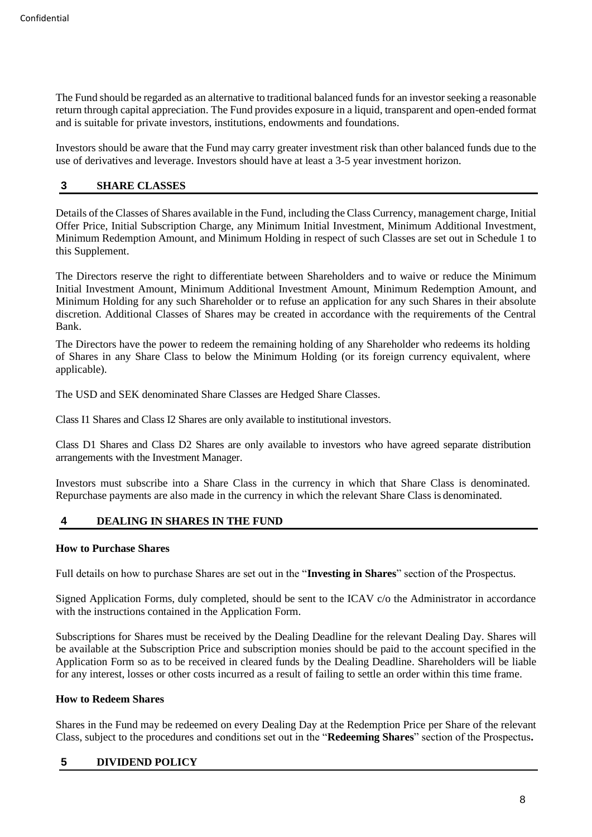The Fund should be regarded as an alternative to traditional balanced funds for an investor seeking a reasonable return through capital appreciation. The Fund provides exposure in a liquid, transparent and open-ended format and is suitable for private investors, institutions, endowments and foundations.

Investors should be aware that the Fund may carry greater investment risk than other balanced funds due to the use of derivatives and leverage. Investors should have at least a 3-5 year investment horizon.

# <span id="page-7-0"></span>**3 SHARE CLASSES**

Details of the Classes of Shares available in the Fund, including the Class Currency, management charge, Initial Offer Price, Initial Subscription Charge, any Minimum Initial Investment, Minimum Additional Investment, Minimum Redemption Amount, and Minimum Holding in respect of such Classes are set out in Schedule 1 to this Supplement.

The Directors reserve the right to differentiate between Shareholders and to waive or reduce the Minimum Initial Investment Amount, Minimum Additional Investment Amount, Minimum Redemption Amount, and Minimum Holding for any such Shareholder or to refuse an application for any such Shares in their absolute discretion. Additional Classes of Shares may be created in accordance with the requirements of the Central Bank.

The Directors have the power to redeem the remaining holding of any Shareholder who redeems its holding of Shares in any Share Class to below the Minimum Holding (or its foreign currency equivalent, where applicable).

The USD and SEK denominated Share Classes are Hedged Share Classes.

Class I1 Shares and Class I2 Shares are only available to institutional investors.

Class D1 Shares and Class D2 Shares are only available to investors who have agreed separate distribution arrangements with the Investment Manager.

Investors must subscribe into a Share Class in the currency in which that Share Class is denominated. Repurchase payments are also made in the currency in which the relevant Share Class is denominated.

# <span id="page-7-1"></span>**4 DEALING IN SHARES IN THE FUND**

# **How to Purchase Shares**

Full details on how to purchase Shares are set out in the "**Investing in Shares**" section of the Prospectus.

Signed Application Forms, duly completed, should be sent to the ICAV c/o the Administrator in accordance with the instructions contained in the Application Form.

Subscriptions for Shares must be received by the Dealing Deadline for the relevant Dealing Day. Shares will be available at the Subscription Price and subscription monies should be paid to the account specified in the Application Form so as to be received in cleared funds by the Dealing Deadline. Shareholders will be liable for any interest, losses or other costs incurred as a result of failing to settle an order within this time frame.

# **How to Redeem Shares**

Shares in the Fund may be redeemed on every Dealing Day at the Redemption Price per Share of the relevant Class, subject to the procedures and conditions set out in the "**Redeeming Shares**" section of the Prospectus**.**

# <span id="page-7-2"></span>**5 DIVIDEND POLICY**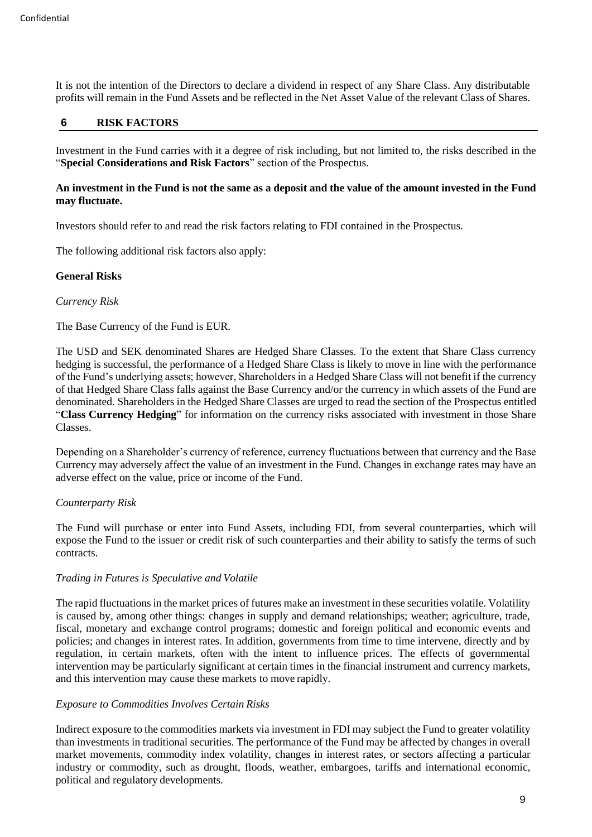It is not the intention of the Directors to declare a dividend in respect of any Share Class. Any distributable profits will remain in the Fund Assets and be reflected in the Net Asset Value of the relevant Class of Shares.

# <span id="page-8-0"></span>**6 RISK FACTORS**

Investment in the Fund carries with it a degree of risk including, but not limited to, the risks described in the "**Special Considerations and Risk Factors**" section of the Prospectus.

# **An investment in the Fund is not the same as a deposit and the value of the amount invested in the Fund may fluctuate.**

Investors should refer to and read the risk factors relating to FDI contained in the Prospectus.

The following additional risk factors also apply:

#### **General Risks**

#### *Currency Risk*

The Base Currency of the Fund is EUR.

The USD and SEK denominated Shares are Hedged Share Classes. To the extent that Share Class currency hedging is successful, the performance of a Hedged Share Class is likely to move in line with the performance of the Fund's underlying assets; however, Shareholders in a Hedged Share Class will not benefit if the currency of that Hedged Share Class falls against the Base Currency and/or the currency in which assets of the Fund are denominated. Shareholders in the Hedged Share Classes are urged to read the section of the Prospectus entitled "**Class Currency Hedging**" for information on the currency risks associated with investment in those Share Classes.

Depending on a Shareholder's currency of reference, currency fluctuations between that currency and the Base Currency may adversely affect the value of an investment in the Fund. Changes in exchange rates may have an adverse effect on the value, price or income of the Fund.

# *Counterparty Risk*

The Fund will purchase or enter into Fund Assets, including FDI, from several counterparties, which will expose the Fund to the issuer or credit risk of such counterparties and their ability to satisfy the terms of such contracts.

# *Trading in Futures is Speculative and Volatile*

The rapid fluctuations in the market prices of futures make an investment in these securities volatile. Volatility is caused by, among other things: changes in supply and demand relationships; weather; agriculture, trade, fiscal, monetary and exchange control programs; domestic and foreign political and economic events and policies; and changes in interest rates. In addition, governments from time to time intervene, directly and by regulation, in certain markets, often with the intent to influence prices. The effects of governmental intervention may be particularly significant at certain times in the financial instrument and currency markets, and this intervention may cause these markets to move rapidly.

# *Exposure to Commodities Involves Certain Risks*

Indirect exposure to the commodities markets via investment in FDI may subject the Fund to greater volatility than investments in traditional securities. The performance of the Fund may be affected by changes in overall market movements, commodity index volatility, changes in interest rates, or sectors affecting a particular industry or commodity, such as drought, floods, weather, embargoes, tariffs and international economic, political and regulatory developments.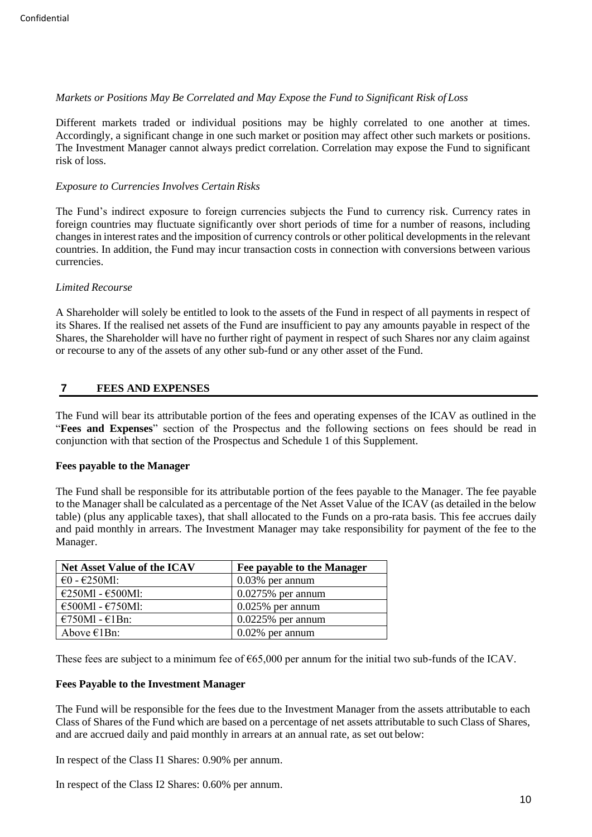# *Markets or Positions May Be Correlated and May Expose the Fund to Significant Risk of Loss*

Different markets traded or individual positions may be highly correlated to one another at times. Accordingly, a significant change in one such market or position may affect other such markets or positions. The Investment Manager cannot always predict correlation. Correlation may expose the Fund to significant risk of loss.

# *Exposure to Currencies Involves Certain Risks*

The Fund's indirect exposure to foreign currencies subjects the Fund to currency risk. Currency rates in foreign countries may fluctuate significantly over short periods of time for a number of reasons, including changes in interest rates and the imposition of currency controls or other political developments in the relevant countries. In addition, the Fund may incur transaction costs in connection with conversions between various currencies.

# *Limited Recourse*

A Shareholder will solely be entitled to look to the assets of the Fund in respect of all payments in respect of its Shares. If the realised net assets of the Fund are insufficient to pay any amounts payable in respect of the Shares, the Shareholder will have no further right of payment in respect of such Shares nor any claim against or recourse to any of the assets of any other sub-fund or any other asset of the Fund.

# <span id="page-9-0"></span>**7 FEES AND EXPENSES**

The Fund will bear its attributable portion of the fees and operating expenses of the ICAV as outlined in the "**Fees and Expenses**" section of the Prospectus and the following sections on fees should be read in conjunction with that section of the Prospectus and Schedule 1 of this Supplement.

# **Fees payable to the Manager**

The Fund shall be responsible for its attributable portion of the fees payable to the Manager. The fee payable to the Manager shall be calculated as a percentage of the Net Asset Value of the ICAV (as detailed in the below table) (plus any applicable taxes), that shall allocated to the Funds on a pro-rata basis. This fee accrues daily and paid monthly in arrears. The Investment Manager may take responsibility for payment of the fee to the Manager.

| <b>Net Asset Value of the ICAV</b>   | Fee payable to the Manager |
|--------------------------------------|----------------------------|
| $\epsilon$ 0 - $\epsilon$ 250Ml:     | $0.03\%$ per annum         |
| $\epsilon$ 250Ml - $\epsilon$ 500Ml: | $0.0275%$ per annum        |
| $\epsilon$ 500Ml - $\epsilon$ 750Ml: | $0.025\%$ per annum        |
| $€750M1 - €1Bn$ :                    | $0.0225%$ per annum        |
| Above $\epsilon$ 1Bn:                | $0.02\%$ per annum         |

These fees are subject to a minimum fee of  $\epsilon$ 65,000 per annum for the initial two sub-funds of the ICAV.

# **Fees Payable to the Investment Manager**

The Fund will be responsible for the fees due to the Investment Manager from the assets attributable to each Class of Shares of the Fund which are based on a percentage of net assets attributable to such Class of Shares, and are accrued daily and paid monthly in arrears at an annual rate, as set out below:

In respect of the Class I1 Shares: 0.90% per annum.

In respect of the Class I2 Shares: 0.60% per annum.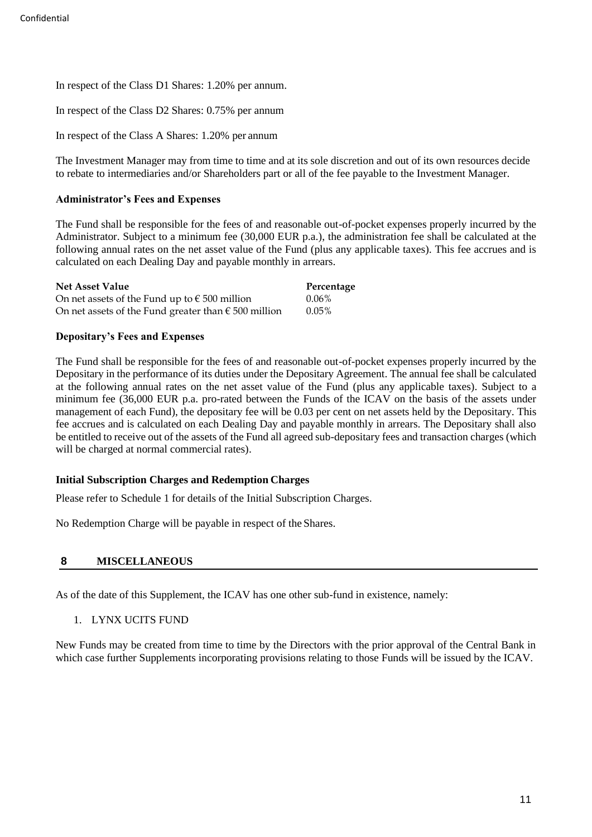In respect of the Class D1 Shares: 1.20% per annum.

In respect of the Class D2 Shares: 0.75% per annum

In respect of the Class A Shares: 1.20% per annum

The Investment Manager may from time to time and at its sole discretion and out of its own resources decide to rebate to intermediaries and/or Shareholders part or all of the fee payable to the Investment Manager.

# **Administrator's Fees and Expenses**

The Fund shall be responsible for the fees of and reasonable out-of-pocket expenses properly incurred by the Administrator. Subject to a minimum fee (30,000 EUR p.a.), the administration fee shall be calculated at the following annual rates on the net asset value of the Fund (plus any applicable taxes). This fee accrues and is calculated on each Dealing Day and payable monthly in arrears.

| <b>Net Asset Value</b>                                        | Percentage |
|---------------------------------------------------------------|------------|
| On net assets of the Fund up to $\epsilon$ 500 million        | $0.06\%$   |
| On net assets of the Fund greater than $\epsilon$ 500 million | $0.05\%$   |

# **Depositary's Fees and Expenses**

The Fund shall be responsible for the fees of and reasonable out-of-pocket expenses properly incurred by the Depositary in the performance of its duties under the Depositary Agreement. The annual fee shall be calculated at the following annual rates on the net asset value of the Fund (plus any applicable taxes). Subject to a minimum fee (36,000 EUR p.a. pro-rated between the Funds of the ICAV on the basis of the assets under management of each Fund), the depositary fee will be 0.03 per cent on net assets held by the Depositary. This fee accrues and is calculated on each Dealing Day and payable monthly in arrears. The Depositary shall also be entitled to receive out of the assets of the Fund all agreed sub-depositary fees and transaction charges (which will be charged at normal commercial rates).

# **Initial Subscription Charges and Redemption Charges**

Please refer to Schedule 1 for details of the Initial Subscription Charges.

No Redemption Charge will be payable in respect of the Shares.

# <span id="page-10-0"></span>**8 MISCELLANEOUS**

As of the date of this Supplement, the ICAV has one other sub-fund in existence, namely:

1. LYNX UCITS FUND

New Funds may be created from time to time by the Directors with the prior approval of the Central Bank in which case further Supplements incorporating provisions relating to those Funds will be issued by the ICAV.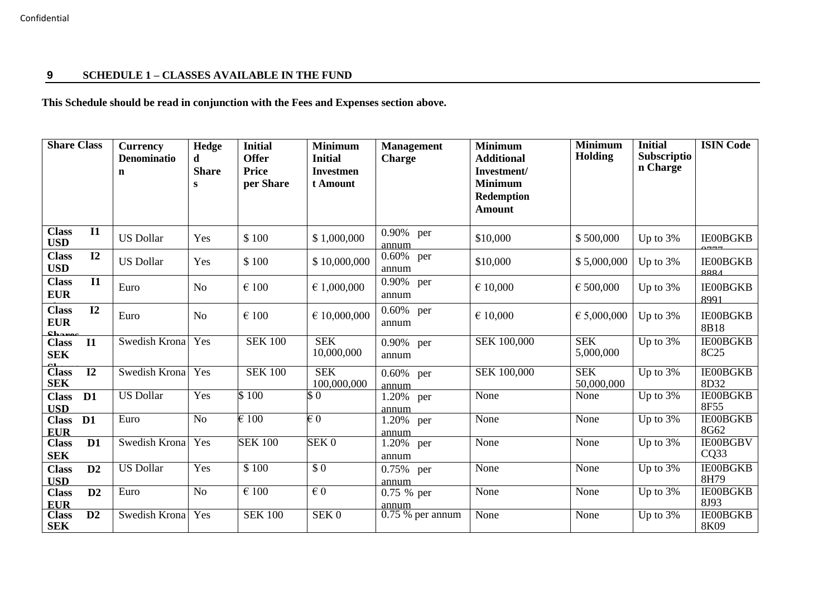# **9 SCHEDULE 1 – CLASSES AVAILABLE IN THE FUND**

# **This Schedule should be read in conjunction with the Fees and Expenses section above.**

<span id="page-11-0"></span>

| <b>Share Class</b>                  |                 | <b>Currency</b><br><b>Denominatio</b><br>n | Hedge<br>d<br><b>Share</b> | <b>Initial</b><br><b>Offer</b><br><b>Price</b> | <b>Minimum</b><br><b>Initial</b><br><b>Investmen</b> | <b>Management</b><br><b>Charge</b> | <b>Minimum</b><br><b>Additional</b><br>Investment/   | <b>Minimum</b><br>Holding | <b>Initial</b><br>Subscriptio<br>n Charge | <b>ISIN Code</b>                    |
|-------------------------------------|-----------------|--------------------------------------------|----------------------------|------------------------------------------------|------------------------------------------------------|------------------------------------|------------------------------------------------------|---------------------------|-------------------------------------------|-------------------------------------|
|                                     |                 |                                            | ${\bf S}$                  | per Share                                      | t Amount                                             |                                    | <b>Minimum</b><br><b>Redemption</b><br><b>Amount</b> |                           |                                           |                                     |
| <b>Class</b><br><b>USD</b>          | $\overline{11}$ | <b>US Dollar</b>                           | Yes                        | \$100                                          | \$1,000,000                                          | 0.90% per<br>annum                 | \$10,000                                             | \$500,000                 | Up to 3%                                  | <b>IE00BGKB</b>                     |
| <b>Class</b><br><b>USD</b>          | 12              | <b>US Dollar</b>                           | Yes                        | \$100                                          | \$10,000,000                                         | 0.60% per<br>annum                 | \$10,000                                             | \$5,000,000               | Up to 3%                                  | <b>IE00BGKB</b><br>9991             |
| <b>Class</b><br><b>EUR</b>          | $\mathbf{I}$    | Euro                                       | N <sub>o</sub>             | $\epsilon$ 100                                 | € 1,000,000                                          | 0.90% per<br>annum                 | € 10,000                                             | € 500,000                 | Up to 3%                                  | <b>IE00BGKB</b><br>8991             |
| <b>Class</b><br><b>EUR</b><br>Chanc | I2              | Euro                                       | N <sub>o</sub>             | $\epsilon$ 100                                 | $\in$ 10,000,000                                     | 0.60% per<br>annum                 | € 10,000                                             | € 5,000,000               | Up to 3%                                  | <b>IE00BGKB</b><br>8B18             |
| <b>Class</b><br><b>SEK</b>          | $\mathbf{I}$    | Swedish Krona                              | Yes                        | <b>SEK 100</b>                                 | <b>SEK</b><br>10,000,000                             | 0.90% per<br>annum                 | <b>SEK 100,000</b>                                   | <b>SEK</b><br>5,000,000   | Up to $3%$                                | <b>IE00BGKB</b><br>8C <sub>25</sub> |
| <b>Class</b><br><b>SEK</b>          | $\overline{12}$ | Swedish Krona                              | Yes                        | <b>SEK 100</b>                                 | <b>SEK</b><br>100,000,000                            | 0.60% per<br>annum                 | SEK 100,000                                          | <b>SEK</b><br>50,000,000  | Up to 3%                                  | <b>IE00BGKB</b><br>8D32             |
| <b>Class</b><br><b>USD</b>          | D <sub>1</sub>  | <b>US Dollar</b>                           | Yes                        | \$100                                          | \$0                                                  | 1.20% per<br>annum                 | None                                                 | None                      | Up to $3%$                                | <b>IE00BGKB</b><br>8F55             |
| Class D1<br><b>EUR</b>              |                 | Euro                                       | N <sub>o</sub>             | $\overline{\epsilon}$ 100                      | $\overline{\epsilon\,0}$                             | 1.20% per<br>annum                 | None                                                 | None                      | Up to $3%$                                | <b>IE00BGKB</b><br>8G62             |
| <b>Class</b><br><b>SEK</b>          | D1              | Swedish Krona                              | $\overline{Y}$ es          | <b>SEK 100</b>                                 | SEK <sub>0</sub>                                     | 1.20% per<br>annum                 | None                                                 | None                      | Up to 3%                                  | <b>IE00BGBV</b><br>CQ33             |
| <b>Class</b><br><b>USD</b>          | D2              | <b>US Dollar</b>                           | Yes                        | \$100                                          | $\overline{S}0$                                      | 0.75% per<br>annum                 | None                                                 | None                      | Up to 3%                                  | <b>IE00BGKB</b><br>8H79             |
| <b>Class</b><br><b>EUR</b>          | D2              | Euro                                       | $\overline{No}$            | $\overline{\epsilon}$ 100                      | $\epsilon$ <sub>0</sub>                              | 0.75 % per<br>annum                | None                                                 | None                      | Up to 3%                                  | <b>IE00BGKB</b><br>8J93             |
| <b>Class</b><br><b>SEK</b>          | $\overline{D2}$ | Swedish Krona                              | Yes                        | <b>SEK 100</b>                                 | SEK0                                                 | $0.75%$ per annum                  | None                                                 | None                      | Up to 3%                                  | <b>IE00BGKB</b><br>8K09             |